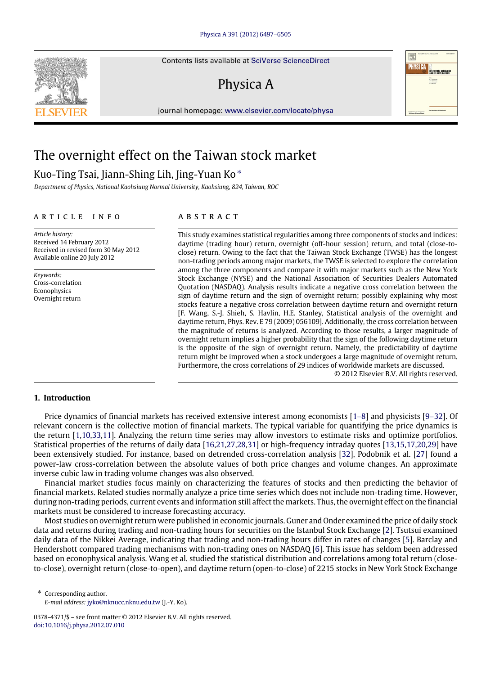Contents lists available at [SciVerse ScienceDirect](http://www.elsevier.com/locate/physa)

## Physica A

journal homepage: [www.elsevier.com/locate/physa](http://www.elsevier.com/locate/physa)

## The overnight effect on the Taiwan stock market

### Kuo-Ting Tsai, Jiann-Shing Lih, Jing-Yuan Ko<sup>\*</sup>

*Department of Physics, National Kaohsiung Normal University, Kaohsiung, 824, Taiwan, ROC*

### a r t i c l e i n f o

*Article history:* Received 14 February 2012 Received in revised form 30 May 2012 Available online 20 July 2012

*Keywords:* Cross-correlation Econophysics Overnight return

### a b s t r a c t

This study examines statistical regularities among three components of stocks and indices: daytime (trading hour) return, overnight (off-hour session) return, and total (close-toclose) return. Owing to the fact that the Taiwan Stock Exchange (TWSE) has the longest non-trading periods among major markets, the TWSE is selected to explore the correlation among the three components and compare it with major markets such as the New York Stock Exchange (NYSE) and the National Association of Securities Dealers Automated Quotation (NASDAQ). Analysis results indicate a negative cross correlation between the sign of daytime return and the sign of overnight return; possibly explaining why most stocks feature a negative cross correlation between daytime return and overnight return [F. Wang, S.-J. Shieh, S. Havlin, H.E. Stanley, Statistical analysis of the overnight and daytime return, Phys. Rev. E 79 (2009) 056109]. Additionally, the cross correlation between the magnitude of returns is analyzed. According to those results, a larger magnitude of overnight return implies a higher probability that the sign of the following daytime return is the opposite of the sign of overnight return. Namely, the predictability of daytime return might be improved when a stock undergoes a large magnitude of overnight return. Furthermore, the cross correlations of 29 indices of worldwide markets are discussed.

© 2012 Elsevier B.V. All rights reserved.

#### **1. Introduction**

Price dynamics of financial markets has received extensive interest among economists [\[1–8\]](#page--1-0) and physicists [\[9–32\]](#page--1-1). Of relevant concern is the collective motion of financial markets. The typical variable for quantifying the price dynamics is the return [\[1,](#page--1-0)[10](#page--1-2)[,33,](#page--1-3)[11\]](#page--1-4). Analyzing the return time series may allow investors to estimate risks and optimize portfolios. Statistical properties of the returns of daily data [\[16,](#page--1-5)[21](#page--1-6)[,27,](#page--1-7)[28](#page--1-8)[,31\]](#page--1-9) or high-frequency intraday quotes [\[13,](#page--1-10)[15](#page--1-11)[,17,](#page--1-12)[20](#page--1-13)[,29\]](#page--1-14) have been extensively studied. For instance, based on detrended cross-correlation analysis [\[32\]](#page--1-15), Podobnik et al. [\[27\]](#page--1-7) found a power-law cross-correlation between the absolute values of both price changes and volume changes. An approximate inverse cubic law in trading volume changes was also observed.

Financial market studies focus mainly on characterizing the features of stocks and then predicting the behavior of financial markets. Related studies normally analyze a price time series which does not include non-trading time. However, during non-trading periods, current events and information still affect the markets. Thus, the overnight effect on the financial markets must be considered to increase forecasting accuracy.

Most studies on overnight return were published in economic journals. Guner and Onder examined the price of daily stock data and returns during trading and non-trading hours for securities on the Istanbul Stock Exchange [\[2\]](#page--1-16). Tsutsui examined daily data of the Nikkei Average, indicating that trading and non-trading hours differ in rates of changes [\[5\]](#page--1-17). Barclay and Hendershott compared trading mechanisms with non-trading ones on NASDAQ [\[6\]](#page--1-18). This issue has seldom been addressed based on econophysical analysis. Wang et al. studied the statistical distribution and correlations among total return (closeto-close), overnight return (close-to-open), and daytime return (open-to-close) of 2215 stocks in New York Stock Exchange

<span id="page-0-0"></span>Corresponding author. *E-mail address:* [jyko@nknucc.nknu.edu.tw](mailto:jyko@nknucc.nknu.edu.tw) (J.-Y. Ko).





<sup>0378-4371/\$ –</sup> see front matter © 2012 Elsevier B.V. All rights reserved. [doi:10.1016/j.physa.2012.07.010](http://dx.doi.org/10.1016/j.physa.2012.07.010)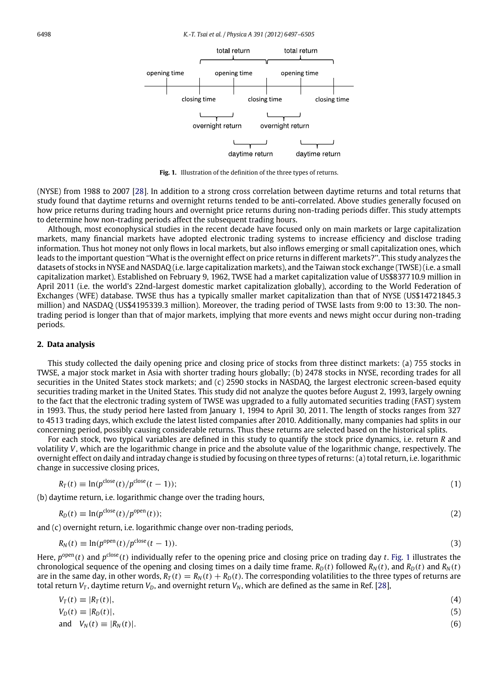<span id="page-1-0"></span>

**Fig. 1.** Illustration of the definition of the three types of returns.

(NYSE) from 1988 to 2007 [\[28\]](#page--1-8). In addition to a strong cross correlation between daytime returns and total returns that study found that daytime returns and overnight returns tended to be anti-correlated. Above studies generally focused on how price returns during trading hours and overnight price returns during non-trading periods differ. This study attempts to determine how non-trading periods affect the subsequent trading hours.

Although, most econophysical studies in the recent decade have focused only on main markets or large capitalization markets, many financial markets have adopted electronic trading systems to increase efficiency and disclose trading information. Thus hot money not only flows in local markets, but also inflows emerging or small capitalization ones, which leads to the important question ''What is the overnight effect on price returns in different markets?''. This study analyzes the datasets of stocks in NYSE and NASDAQ (i.e. large capitalization markets), and the Taiwan stock exchange (TWSE) (i.e. a small capitalization market). Established on February 9, 1962, TWSE had a market capitalization value of US\$837710.9 million in April 2011 (i.e. the world's 22nd-largest domestic market capitalization globally), according to the World Federation of Exchanges (WFE) database. TWSE thus has a typically smaller market capitalization than that of NYSE (US\$14721845.3 million) and NASDAQ (US\$4195339.3 million). Moreover, the trading period of TWSE lasts from 9:00 to 13:30. The nontrading period is longer than that of major markets, implying that more events and news might occur during non-trading periods.

#### **2. Data analysis**

This study collected the daily opening price and closing price of stocks from three distinct markets: (a) 755 stocks in TWSE, a major stock market in Asia with shorter trading hours globally; (b) 2478 stocks in NYSE, recording trades for all securities in the United States stock markets; and (c) 2590 stocks in NASDAQ, the largest electronic screen-based equity securities trading market in the United States. This study did not analyze the quotes before August 2, 1993, largely owning to the fact that the electronic trading system of TWSE was upgraded to a fully automated securities trading (FAST) system in 1993. Thus, the study period here lasted from January 1, 1994 to April 30, 2011. The length of stocks ranges from 327 to 4513 trading days, which exclude the latest listed companies after 2010. Additionally, many companies had splits in our concerning period, possibly causing considerable returns. Thus these returns are selected based on the historical splits.

For each stock, two typical variables are defined in this study to quantify the stock price dynamics, i.e. return *R* and volatility *V*, which are the logarithmic change in price and the absolute value of the logarithmic change, respectively. The overnight effect on daily and intraday change is studied by focusing on three types of returns: (a) total return, i.e. logarithmic change in successive closing prices,

$$
R_T(t) \equiv \ln(p^{\text{close}}(t)/p^{\text{close}}(t-1));\tag{1}
$$

(b) daytime return, i.e. logarithmic change over the trading hours,

$$
R_D(t) \equiv \ln(p^{\text{close}}(t)/p^{\text{open}}(t));\tag{2}
$$

and (c) overnight return, i.e. logarithmic change over non-trading periods,

$$
R_N(t) \equiv \ln(p^{\text{open}}(t)/p^{\text{close}}(t-1)).\tag{3}
$$

Here,  $p^{\text{open}}(t)$  and  $p^{\text{close}}(t)$  individually refer to the opening price and closing price on trading day *t*. [Fig. 1](#page-1-0) illustrates the chronological sequence of the opening and closing times on a daily time frame.  $R_D(t)$  followed  $R_N(t)$ , and  $R_D(t)$  and  $R_N(t)$ are in the same day, in other words,  $R_T(t) = R_N(t) + R_D(t)$ . The corresponding volatilities to the three types of returns are total return  $V_T$ , daytime return  $V_D$ , and overnight return  $V_N$ , which are defined as the same in Ref. [\[28\]](#page--1-8),

$$
V_T(t) \equiv |R_T(t)|,\tag{4}
$$
  
\n
$$
V_D(t) \equiv |R_D(t)|,\tag{5}
$$